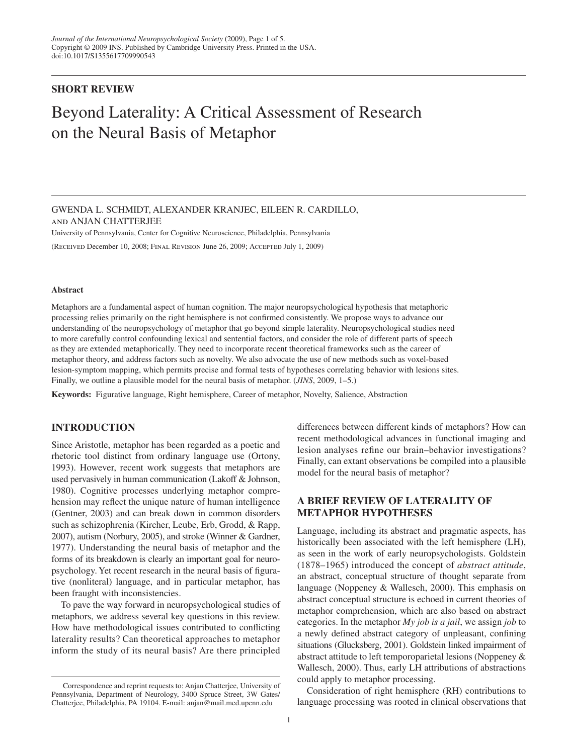# **SHORT REVIEW**

# Beyond Laterality: A Critical Assessment of Research on the Neural Basis of Metaphor

GWENDA L. SCHMIDT, ALEXANDER KRANJEC, EILEEN R. CARDILLO, and ANJAN CHATTERJEE

University of Pennsylvania , Center for Cognitive Neuroscience , Philadelphia , Pennsylvania

(RECEIVED December 10, 2008; FINAL REVISION June 26, 2009; ACCEPTED July 1, 2009)

#### **Abstract**

 Metaphors are a fundamental aspect of human cognition. The major neuropsychological hypothesis that metaphoric processing relies primarily on the right hemisphere is not confirmed consistently. We propose ways to advance our understanding of the neuropsychology of metaphor that go beyond simple laterality. Neuropsychological studies need to more carefully control confounding lexical and sentential factors, and consider the role of different parts of speech as they are extended metaphorically. They need to incorporate recent theoretical frameworks such as the career of metaphor theory, and address factors such as novelty. We also advocate the use of new methods such as voxel-based lesion-symptom mapping, which permits precise and formal tests of hypotheses correlating behavior with lesions sites. Finally, we outline a plausible model for the neural basis of metaphor. (*JINS*, 2009, 1–5.)

Keywords: Figurative language, Right hemisphere, Career of metaphor, Novelty, Salience, Abstraction

## **INTRODUCTION**

 Since Aristotle, metaphor has been regarded as a poetic and rhetoric tool distinct from ordinary language use (Ortony, 1993). However, recent work suggests that metaphors are used pervasively in human communication (Lakoff & Johnson, 1980). Cognitive processes underlying metaphor comprehension may reflect the unique nature of human intelligence (Gentner, 2003) and can break down in common disorders such as schizophrenia (Kircher, Leube, Erb, Grodd, & Rapp, 2007), autism (Norbury, 2005), and stroke (Winner & Gardner, 1977 ). Understanding the neural basis of metaphor and the forms of its breakdown is clearly an important goal for neuropsychology. Yet recent research in the neural basis of figurative (nonliteral) language, and in particular metaphor, has been fraught with inconsistencies.

 To pave the way forward in neuropsychological studies of metaphors, we address several key questions in this review. How have methodological issues contributed to conflicting laterality results? Can theoretical approaches to metaphor inform the study of its neural basis? Are there principled

differences between different kinds of metaphors? How can recent methodological advances in functional imaging and lesion analyses refine our brain–behavior investigations? Finally, can extant observations be compiled into a plausible model for the neural basis of metaphor?

# **A BRIEF REVIEW OF LATERALITY OF METAPHOR HYPOTHESES**

 Language, including its abstract and pragmatic aspects, has historically been associated with the left hemisphere (LH), as seen in the work of early neuropsychologists. Goldstein (1878–1965) introduced the concept of *abstract attitude* , an abstract, conceptual structure of thought separate from language (Noppeney  $&$  Wallesch, 2000). This emphasis on abstract conceptual structure is echoed in current theories of metaphor comprehension, which are also based on abstract categories. In the metaphor *My job is a jail* , we assign *job* to a newly defined abstract category of unpleasant, confining situations (Glucksberg, 2001). Goldstein linked impairment of abstract attitude to left temporoparietal lesions (Noppeney & Wallesch, 2000). Thus, early LH attributions of abstractions could apply to metaphor processing.

 Consideration of right hemisphere (RH) contributions to language processing was rooted in clinical observations that

Correspondence and reprint requests to: Anjan Chatterjee, University of Pennsylvania, Department of Neurology, 3400 Spruce Street, 3W Gates/ Chatterjee, Philadelphia, PA 19104. E-mail: anjan@mail.med.upenn.edu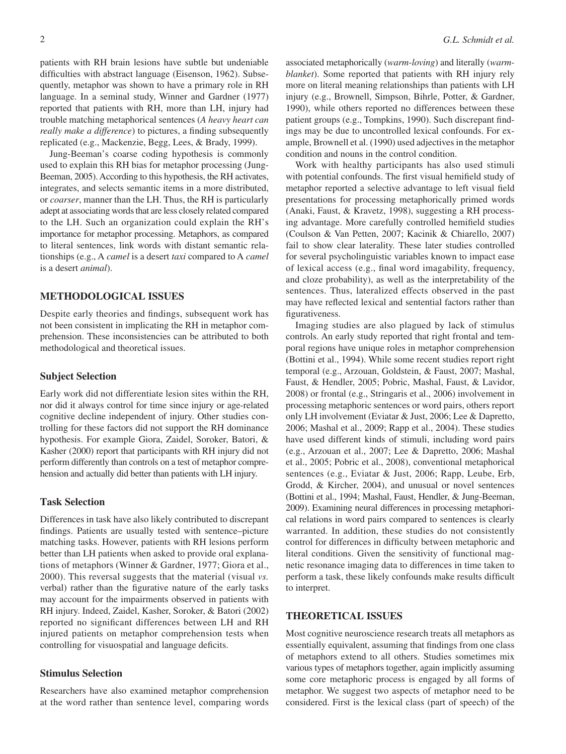patients with RH brain lesions have subtle but undeniable difficulties with abstract language (Eisenson, 1962). Subsequently, metaphor was shown to have a primary role in RH language. In a seminal study, Winner and Gardner (1977) reported that patients with RH, more than LH, injury had trouble matching metaphorical sentences (A heavy heart can *really make a difference*) to pictures, a finding subsequently replicated (e.g., Mackenzie, Begg, Lees, & Brady, 1999 ).

 Jung-Beeman's coarse coding hypothesis is commonly used to explain this RH bias for metaphor processing (Jung-Beeman, 2005). According to this hypothesis, the RH activates, integrates, and selects semantic items in a more distributed, or *coarser* , manner than the LH. Thus, the RH is particularly adept at associating words that are less closely related compared to the LH. Such an organization could explain the RH's importance for metaphor processing. Metaphors, as compared to literal sentences, link words with distant semantic relationships (e.g., A *camel* is a desert *taxi* compared to A *camel* is a desert *animal* ).

#### **METHODOLOGICAL ISSUES**

Despite early theories and findings, subsequent work has not been consistent in implicating the RH in metaphor comprehension. These inconsistencies can be attributed to both methodological and theoretical issues.

# **Subject Selection**

 Early work did not differentiate lesion sites within the RH, nor did it always control for time since injury or age-related cognitive decline independent of injury. Other studies controlling for these factors did not support the RH dominance hypothesis. For example Giora, Zaidel, Soroker, Batori, & Kasher (2000) report that participants with RH injury did not perform differently than controls on a test of metaphor comprehension and actually did better than patients with LH injury.

#### **Task Selection**

 Differences in task have also likely contributed to discrepant findings. Patients are usually tested with sentence-picture matching tasks. However, patients with RH lesions perform better than LH patients when asked to provide oral explanations of metaphors (Winner & Gardner, 1977; Giora et al., 2000). This reversal suggests that the material (visual *vs*. verbal) rather than the figurative nature of the early tasks may account for the impairments observed in patients with RH injury. Indeed, Zaidel, Kasher, Soroker, & Batori (2002) reported no significant differences between LH and RH injured patients on metaphor comprehension tests when controlling for visuospatial and language deficits.

## **Stimulus Selection**

 Researchers have also examined metaphor comprehension at the word rather than sentence level, comparing words

 associated metaphorically ( *warm-loving* ) and literally ( *warmblanket* ). Some reported that patients with RH injury rely more on literal meaning relationships than patients with LH injury (e.g., Brownell, Simpson, Bihrle, Potter, & Gardner, 1990), while others reported no differences between these patient groups (e.g., Tompkins, 1990). Such discrepant findings may be due to uncontrolled lexical confounds. For example, Brownell et al. (1990) used adjectives in the metaphor condition and nouns in the control condition.

 Work with healthy participants has also used stimuli with potential confounds. The first visual hemifield study of metaphor reported a selective advantage to left visual field presentations for processing metaphorically primed words (Anaki, Faust, & Kravetz, 1998), suggesting a RH processing advantage. More carefully controlled hemifield studies (Coulson & Van Petten, 2007; Kacinik & Chiarello, 2007) fail to show clear laterality. These later studies controlled for several psycholinguistic variables known to impact ease of lexical access (e.g., final word imagability, frequency, and cloze probability), as well as the interpretability of the sentences. Thus, lateralized effects observed in the past may have reflected lexical and sentential factors rather than figurativeness.

 Imaging studies are also plagued by lack of stimulus controls. An early study reported that right frontal and temporal regions have unique roles in metaphor comprehension (Bottini et al., 1994). While some recent studies report right temporal (e.g., Arzouan, Goldstein, & Faust, 2007; Mashal, Faust, & Hendler, 2005; Pobric, Mashal, Faust, & Lavidor, 2008 ) or frontal (e.g., Stringaris et al., 2006 ) involvement in processing metaphoric sentences or word pairs, others report only LH involvement (Eviatar  $\&$  Just, 2006; Lee  $\&$  Dapretto, 2006; Mashal et al., 2009; Rapp et al., 2004). These studies have used different kinds of stimuli, including word pairs (e.g., Arzouan et al., 2007; Lee & Dapretto, 2006; Mashal et al., 2005; Pobric et al., 2008), conventional metaphorical sentences (e.g., Eviatar & Just, 2006; Rapp, Leube, Erb, Grodd, & Kircher, 2004), and unusual or novel sentences (Bottini et al., 1994; Mashal, Faust, Hendler, & Jung-Beeman, 2009). Examining neural differences in processing metaphorical relations in word pairs compared to sentences is clearly warranted. In addition, these studies do not consistently control for differences in difficulty between metaphoric and literal conditions. Given the sensitivity of functional magnetic resonance imaging data to differences in time taken to perform a task, these likely confounds make results difficult to interpret.

# **THEORETICAL ISSUES**

 Most cognitive neuroscience research treats all metaphors as essentially equivalent, assuming that findings from one class of metaphors extend to all others. Studies sometimes mix various types of metaphors together, again implicitly assuming some core metaphoric process is engaged by all forms of metaphor. We suggest two aspects of metaphor need to be considered. First is the lexical class (part of speech) of the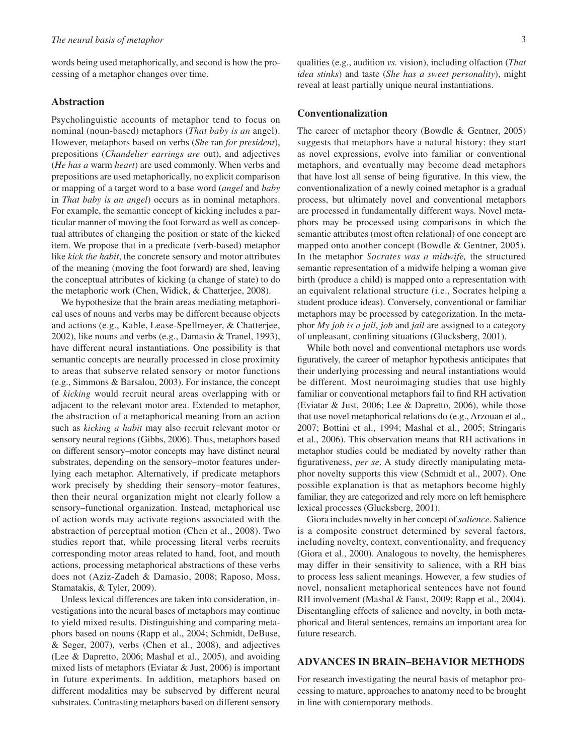words being used metaphorically, and second is how the processing of a metaphor changes over time.

### **Abstraction**

 Psycholinguistic accounts of metaphor tend to focus on nominal (noun-based) metaphors (*That baby is an* angel). However, metaphors based on verbs ( *She* ran *for president* ), prepositions (*Chandelier earrings are* out), and adjectives ( *He has a* warm *heart* ) are used commonly. When verbs and prepositions are used metaphorically, no explicit comparison or mapping of a target word to a base word ( *angel* and *baby* in *That baby is an angel*) occurs as in nominal metaphors. For example, the semantic concept of kicking includes a particular manner of moving the foot forward as well as conceptual attributes of changing the position or state of the kicked item. We propose that in a predicate (verb-based) metaphor like *kick the habit*, the concrete sensory and motor attributes of the meaning (moving the foot forward) are shed, leaving the conceptual attributes of kicking (a change of state) to do the metaphoric work (Chen, Widick, & Chatterjee, 2008 ).

 We hypothesize that the brain areas mediating metaphorical uses of nouns and verbs may be different because objects and actions (e.g., Kable, Lease-Spellmeyer, & Chatterjee, 2002), like nouns and verbs (e.g., Damasio & Tranel, 1993), have different neural instantiations. One possibility is that semantic concepts are neurally processed in close proximity to areas that subserve related sensory or motor functions (e.g., Simmons & Barsalou, 2003 ). For instance, the concept of *kicking* would recruit neural areas overlapping with or adjacent to the relevant motor area. Extended to metaphor, the abstraction of a metaphorical meaning from an action such as *kicking a habit* may also recruit relevant motor or sensory neural regions (Gibbs, 2006). Thus, metaphors based on different sensory–motor concepts may have distinct neural substrates, depending on the sensory–motor features underlying each metaphor. Alternatively, if predicate metaphors work precisely by shedding their sensory–motor features, then their neural organization might not clearly follow a sensory–functional organization. Instead, metaphorical use of action words may activate regions associated with the abstraction of perceptual motion (Chen et al., 2008). Two studies report that, while processing literal verbs recruits corresponding motor areas related to hand, foot, and mouth actions, processing metaphorical abstractions of these verbs does not (Aziz-Zadeh & Damasio, 2008; Raposo, Moss, Stamatakis, & Tyler, 2009).

 Unless lexical differences are taken into consideration, investigations into the neural bases of metaphors may continue to yield mixed results. Distinguishing and comparing metaphors based on nouns (Rapp et al., 2004; Schmidt, DeBuse, & Seger, 2007 ), verbs (Chen et al., 2008 ), and adjectives (Lee & Dapretto, 2006; Mashal et al., 2005), and avoiding mixed lists of metaphors (Eviatar  $&$  Just, 2006) is important in future experiments. In addition, metaphors based on different modalities may be subserved by different neural substrates. Contrasting metaphors based on different sensory qualities (e.g., audition *vs.* vision), including olfaction ( *That idea stinks* ) and taste ( *She has a sweet personality* ), might reveal at least partially unique neural instantiations.

#### **Conventionalization**

The career of metaphor theory (Bowdle & Gentner, 2005) suggests that metaphors have a natural history: they start as novel expressions, evolve into familiar or conventional metaphors, and eventually may become dead metaphors that have lost all sense of being figurative. In this view, the conventionalization of a newly coined metaphor is a gradual process, but ultimately novel and conventional metaphors are processed in fundamentally different ways. Novel metaphors may be processed using comparisons in which the semantic attributes (most often relational) of one concept are mapped onto another concept (Bowdle & Gentner, 2005). In the metaphor *Socrates was a midwife,* the structured semantic representation of a midwife helping a woman give birth (produce a child) is mapped onto a representation with an equivalent relational structure (i.e., Socrates helping a student produce ideas). Conversely, conventional or familiar metaphors may be processed by categorization. In the metaphor *My job is a jail* , *job* and *jail* are assigned to a category of unpleasant, confining situations (Glucksberg, 2001).

 While both novel and conventional metaphors use words figuratively, the career of metaphor hypothesis anticipates that their underlying processing and neural instantiations would be different. Most neuroimaging studies that use highly familiar or conventional metaphors fail to find RH activation (Eviatar & Just, 2006; Lee & Dapretto, 2006), while those that use novel metaphorical relations do (e.g., Arzouan et al., 2007; Bottini et al., 1994; Mashal et al., 2005; Stringaris et al., 2006). This observation means that RH activations in metaphor studies could be mediated by novelty rather than figurativeness, *per se*. A study directly manipulating metaphor novelty supports this view (Schmidt et al., 2007). One possible explanation is that as metaphors become highly familiar, they are categorized and rely more on left hemisphere lexical processes (Glucksberg, 2001).

 Giora includes novelty in her concept of *salience* . Salience is a composite construct determined by several factors, including novelty, context, conventionality, and frequency (Giora et al., 2000). Analogous to novelty, the hemispheres may differ in their sensitivity to salience, with a RH bias to process less salient meanings. However, a few studies of novel, nonsalient metaphorical sentences have not found RH involvement (Mashal & Faust, 2009; Rapp et al., 2004). Disentangling effects of salience and novelty, in both metaphorical and literal sentences, remains an important area for future research.

## **ADVANCES IN BRAIN–BEHAVIOR METHODS**

 For research investigating the neural basis of metaphor processing to mature, approaches to anatomy need to be brought in line with contemporary methods.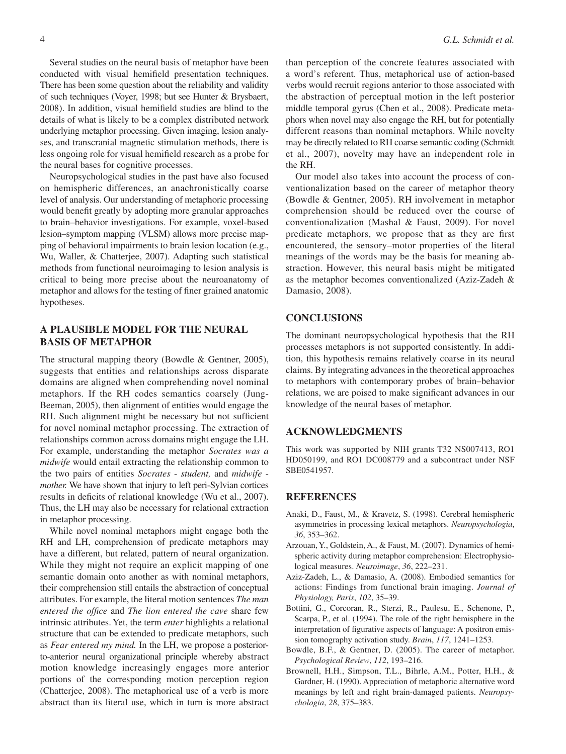Several studies on the neural basis of metaphor have been conducted with visual hemifield presentation techniques. There has been some question about the reliability and validity of such techniques (Voyer, 1998; but see Hunter & Brysbaert, 2008). In addition, visual hemifield studies are blind to the details of what is likely to be a complex distributed network underlying metaphor processing. Given imaging, lesion analyses, and transcranial magnetic stimulation methods, there is less ongoing role for visual hemifield research as a probe for the neural bases for cognitive processes.

 Neuropsychological studies in the past have also focused on hemispheric differences, an anachronistically coarse level of analysis. Our understanding of metaphoric processing would benefit greatly by adopting more granular approaches to brain–behavior investigations. For example, voxel-based lesion–symptom mapping (VLSM) allows more precise mapping of behavioral impairments to brain lesion location (e.g., Wu, Waller, & Chatterjee, 2007). Adapting such statistical methods from functional neuroimaging to lesion analysis is critical to being more precise about the neuroanatomy of metaphor and allows for the testing of finer grained anatomic hypotheses.

# **A PLAUSIBLE MODEL FOR THE NEURAL BASIS OF METAPHOR**

The structural mapping theory (Bowdle & Gentner, 2005), suggests that entities and relationships across disparate domains are aligned when comprehending novel nominal metaphors. If the RH codes semantics coarsely (Jung-Beeman, 2005), then alignment of entities would engage the RH. Such alignment might be necessary but not sufficient for novel nominal metaphor processing. The extraction of relationships common across domains might engage the LH. For example, understanding the metaphor *Socrates was a midwife* would entail extracting the relationship common to the two pairs of entities *Socrates* - *student,* and *midwife mother.* We have shown that injury to left peri-Sylvian cortices results in deficits of relational knowledge (Wu et al., 2007). Thus, the LH may also be necessary for relational extraction in metaphor processing.

 While novel nominal metaphors might engage both the RH and LH, comprehension of predicate metaphors may have a different, but related, pattern of neural organization. While they might not require an explicit mapping of one semantic domain onto another as with nominal metaphors, their comprehension still entails the abstraction of conceptual attributes. For example, the literal motion sentences *The man entered the office and The lion entered the cave share few* intrinsic attributes. Yet, the term *enter* highlights a relational structure that can be extended to predicate metaphors, such as *Fear entered my mind.* In the LH, we propose a posteriorto-anterior neural organizational principle whereby abstract motion knowledge increasingly engages more anterior portions of the corresponding motion perception region (Chatterjee, 2008). The metaphorical use of a verb is more abstract than its literal use, which in turn is more abstract

than perception of the concrete features associated with a word's referent. Thus, metaphorical use of action-based verbs would recruit regions anterior to those associated with the abstraction of perceptual motion in the left posterior middle temporal gyrus (Chen et al., 2008). Predicate metaphors when novel may also engage the RH, but for potentially different reasons than nominal metaphors. While novelty may be directly related to RH coarse semantic coding (Schmidt et al., 2007), novelty may have an independent role in the RH.

 Our model also takes into account the process of conventionalization based on the career of metaphor theory (Bowdle & Gentner, 2005 ). RH involvement in metaphor comprehension should be reduced over the course of conventionalization (Mashal & Faust, 2009). For novel predicate metaphors, we propose that as they are first encountered, the sensory–motor properties of the literal meanings of the words may be the basis for meaning abstraction. However, this neural basis might be mitigated as the metaphor becomes conventionalized (Aziz-Zadeh & Damasio, 2008 ).

# **CONCLUSIONS**

 The dominant neuropsychological hypothesis that the RH processes metaphors is not supported consistently. In addition, this hypothesis remains relatively coarse in its neural claims. By integrating advances in the theoretical approaches to metaphors with contemporary probes of brain–behavior relations, we are poised to make significant advances in our knowledge of the neural bases of metaphor.

# **ACKNOWLEDGMENTS**

 This work was supported by NIH grants T32 NS007413, RO1 HD050199, and RO1 DC008779 and a subcontract under NSF SBE0541957.

## **REFERENCES**

- Anaki, D., Faust, M., & Kravetz, S. (1998). Cerebral hemispheric asymmetries in processing lexical metaphors . *Neuropsychologia* , *36* , 353 – 362 .
- Arzouan, Y., Goldstein, A., & Faust, M. (2007). Dynamics of hemispheric activity during metaphor comprehension: Electrophysiological measures. *Neuroimage*, 36, 222-231.
- Aziz-Zadeh, L., & Damasio, A. (2008). Embodied semantics for actions: Findings from functional brain imaging . *Journal of Physiology, Paris* , *102* , 35 – 39 .
- Bottini, G., Corcoran, R., Sterzi, R., Paulesu, E., Schenone, P., Scarpa, P., et al. (1994). The role of the right hemisphere in the interpretation of figurative aspects of language: A positron emission tomography activation study. *Brain*, 117, 1241-1253.
- Bowdle, B.F., & Gentner, D. (2005). The career of metaphor. *Psychological Review* , *112* , 193 – 216 .
- Brownell, H.H., Simpson, T.L., Bihrle, A.M., Potter, H.H., & Gardner, H. (1990). Appreciation of metaphoric alternative word meanings by left and right brain-damaged patients . *Neuropsychologia* , *28* , 375 – 383 .